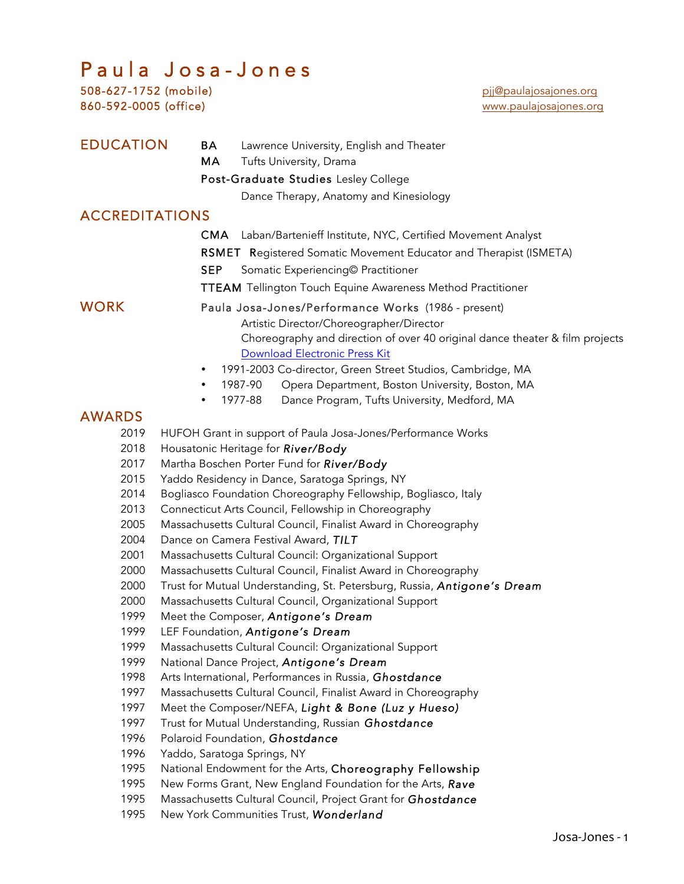# $P$  a u  $\overline{a}$  Josa - Jones<br>508-627-1752 (mobile) pij@paulajosajone

|                              | 508-627-1752 (MODIIE) | pil@paulajosajones.org                                                                             |
|------------------------------|-----------------------|----------------------------------------------------------------------------------------------------|
|                              | 860-592-0005 (office) | www.paulajosajones.org                                                                             |
| <b>EDUCATION</b><br>BA<br>МA |                       | Lawrence University, English and Theater<br>Tufts University, Drama                                |
|                              |                       | Post-Graduate Studies Lesley College                                                               |
|                              |                       | Dance Therapy, Anatomy and Kinesiology                                                             |
|                              | <b>ACCREDITATIONS</b> |                                                                                                    |
|                              |                       |                                                                                                    |
|                              |                       | Laban/Bartenieff Institute, NYC, Certified Movement Analyst<br>CMA.                                |
|                              |                       | <b>RSMET</b> Registered Somatic Movement Educator and Therapist (ISMETA)                           |
|                              |                       | <b>SEP</b><br>Somatic Experiencing© Practitioner                                                   |
|                              |                       | <b>TTEAM</b> Tellington Touch Equine Awareness Method Practitioner                                 |
|                              | <b>WORK</b>           | Paula Josa-Jones/Performance Works (1986 - present)                                                |
|                              |                       | Artistic Director/Choreographer/Director                                                           |
|                              |                       | Choreography and direction of over 40 original dance theater & film projects                       |
|                              |                       | <b>Download Electronic Press Kit</b>                                                               |
|                              |                       | 1991-2003 Co-director, Green Street Studios, Cambridge, MA<br>٠                                    |
|                              |                       | 1987-90<br>Opera Department, Boston University, Boston, MA<br>٠                                    |
|                              |                       | 1977-88<br>Dance Program, Tufts University, Medford, MA<br>٠                                       |
|                              | <b>AWARDS</b>         |                                                                                                    |
|                              | 2019<br>2018          | HUFOH Grant in support of Paula Josa-Jones/Performance Works                                       |
|                              | 2017                  | Housatonic Heritage for River/Body<br>Martha Boschen Porter Fund for River/Body                    |
|                              | 2015                  | Yaddo Residency in Dance, Saratoga Springs, NY                                                     |
|                              | 2014                  | Bogliasco Foundation Choreography Fellowship, Bogliasco, Italy                                     |
|                              | 2013                  | Connecticut Arts Council, Fellowship in Choreography                                               |
|                              | 2005                  | Massachusetts Cultural Council, Finalist Award in Choreography                                     |
|                              | 2004                  | Dance on Camera Festival Award, TILT                                                               |
|                              | 2001                  | Massachusetts Cultural Council: Organizational Support                                             |
|                              | 2000                  | Massachusetts Cultural Council, Finalist Award in Choreography                                     |
|                              | 2000                  | Trust for Mutual Understanding, St. Petersburg, Russia, Antigone's Dream                           |
|                              | 2000                  | Massachusetts Cultural Council, Organizational Support                                             |
|                              | 1999                  | Meet the Composer, Antigone's Dream                                                                |
|                              | 1999                  | LEF Foundation, Antigone's Dream                                                                   |
|                              | 1999                  | Massachusetts Cultural Council: Organizational Support                                             |
|                              | 1999<br>1998          | National Dance Project, Antigone's Dream<br>Arts International, Performances in Russia, Ghostdance |
|                              | 1997                  | Massachusetts Cultural Council, Finalist Award in Choreography                                     |
|                              | 1997                  | Meet the Composer/NEFA, Light & Bone (Luz y Hueso)                                                 |
|                              | 1997                  | Trust for Mutual Understanding, Russian Ghostdance                                                 |
|                              | 1996                  | Polaroid Foundation, Ghostdance                                                                    |
|                              | 1996                  | Yaddo, Saratoga Springs, NY                                                                        |
|                              | 1995                  | National Endowment for the Arts, Choreography Fellowship                                           |
|                              | 1995                  | New Forms Grant, New England Foundation for the Arts, Rave                                         |
|                              |                       |                                                                                                    |

- 1995 Massachusetts Cultural Council, Project Grant for *Ghostdance*
- 1995 New York Communities Trust, *Wonderland*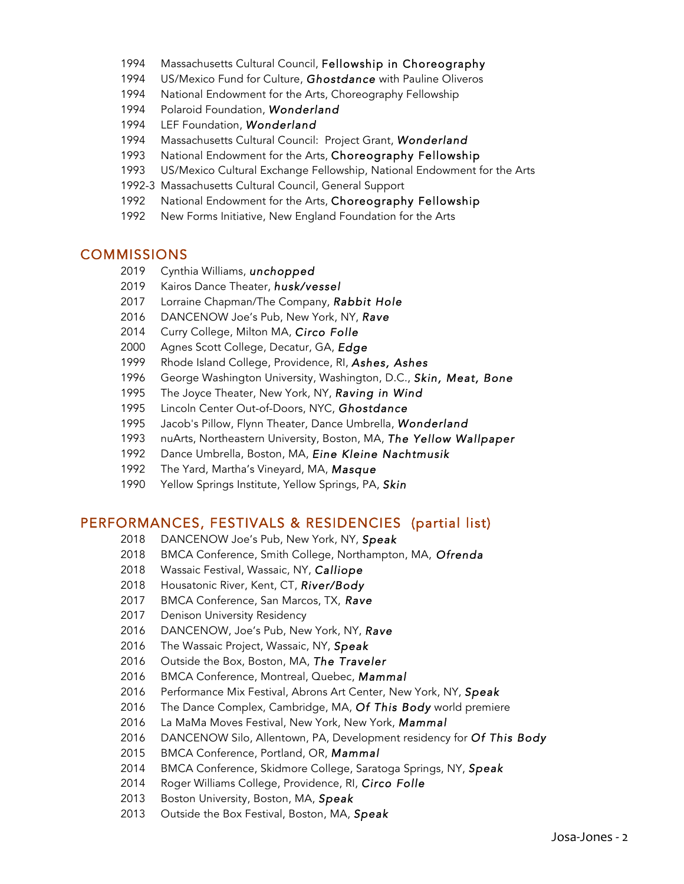- Massachusetts Cultural Council, Fellowship in Choreography
- US/Mexico Fund for Culture, *Ghostdance* with Pauline Oliveros
- National Endowment for the Arts, Choreography Fellowship
- Polaroid Foundation, *Wonderland*
- LEF Foundation, *Wonderland*
- Massachusetts Cultural Council: Project Grant, *Wonderland*
- 1993 National Endowment for the Arts, Choreography Fellowship
- US/Mexico Cultural Exchange Fellowship, National Endowment for the Arts
- 1992-3 Massachusetts Cultural Council, General Support
- National Endowment for the Arts, Choreography Fellowship
- New Forms Initiative, New England Foundation for the Arts

#### COMMISSIONS

- Cynthia Williams, *unchopped*
- Kairos Dance Theater, *husk/vessel*
- Lorraine Chapman/The Company, *Rabbit Hole*
- DANCENOW Joe's Pub, New York, NY, *Rave*
- Curry College, Milton MA, *Circo Folle*
- Agnes Scott College, Decatur, GA, *Edge*
- Rhode Island College, Providence, RI, *Ashes, Ashes*
- George Washington University, Washington, D.C., *Skin, Meat, Bone*
- The Joyce Theater, New York, NY, *Raving in Wind*
- Lincoln Center Out-of-Doors, NYC, *Ghostdance*
- Jacob's Pillow, Flynn Theater, Dance Umbrella, *Wonderland*
- nuArts, Northeastern University, Boston, MA, *The Yellow Wallpaper*
- Dance Umbrella, Boston, MA, *Eine Kleine Nachtmusik*
- The Yard, Martha's Vineyard, MA, *Masque*
- Yellow Springs Institute, Yellow Springs, PA, *Skin*

#### PERFORMANCES, FESTIVALS & RESIDENCIES (partial list)

- DANCENOW Joe's Pub, New York, NY, *Speak*
- BMCA Conference, Smith College, Northampton, MA, *Ofrenda*
- Wassaic Festival, Wassaic, NY, *Calliope*
- Housatonic River, Kent, CT, *River/Body*
- BMCA Conference, San Marcos, TX, *Rave*
- Denison University Residency
- DANCENOW, Joe's Pub, New York, NY, *Rave*
- The Wassaic Project, Wassaic, NY, *Speak*
- Outside the Box, Boston, MA, *The Traveler*
- BMCA Conference, Montreal, Quebec, *Mammal*
- Performance Mix Festival, Abrons Art Center, New York, NY, *Speak*
- The Dance Complex, Cambridge, MA, *Of This Body* world premiere
- La MaMa Moves Festival, New York, New York, *Mammal*
- DANCENOW Silo, Allentown, PA, Development residency for *Of This Body*
- 2015 BMCA Conference, Portland, OR, *Mammal*
- BMCA Conference, Skidmore College, Saratoga Springs, NY, *Speak*
- 2014 Roger Williams College, Providence, RI, *Circo Folle*
- Boston University, Boston, MA, *Speak*
- 2013 Outside the Box Festival, Boston, MA, *Speak*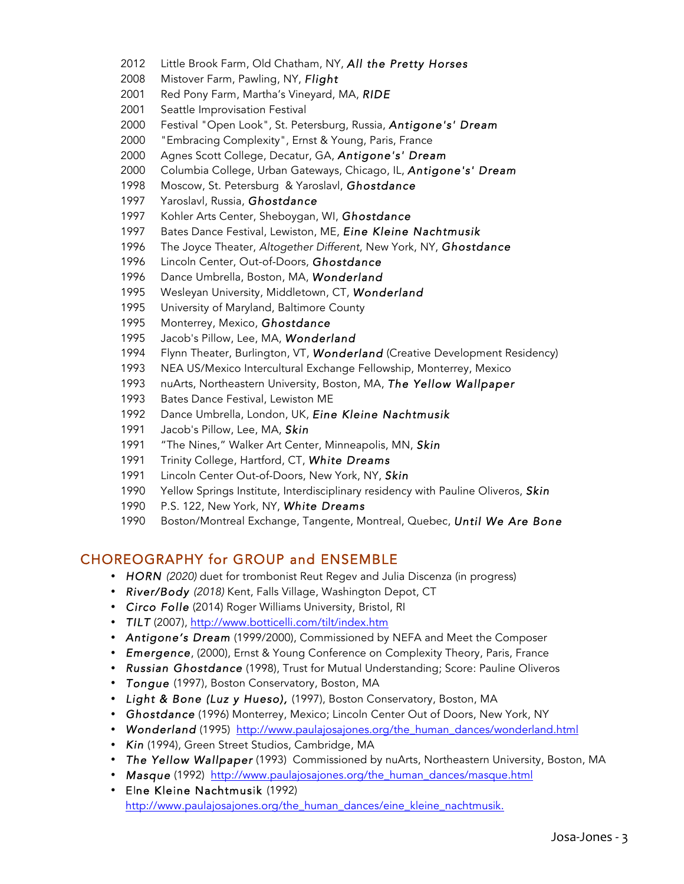- 2012 Little Brook Farm, Old Chatham, NY, *All the Pretty Horses*
- 2008 Mistover Farm, Pawling, NY, *Flight*
- 2001 Red Pony Farm, Martha's Vineyard, MA, *RIDE*
- 2001 Seattle Improvisation Festival
- 2000 Festival "Open Look", St. Petersburg, Russia, *Antigone's' Dream*
- 2000 "Embracing Complexity", Ernst & Young, Paris, France
- 2000 Agnes Scott College, Decatur, GA, *Antigone's' Dream*
- 2000 Columbia College, Urban Gateways, Chicago, IL, *Antigone's' Dream*
- 1998 Moscow, St. Petersburg & Yaroslavl, *Ghostdance*
- 1997 Yaroslavl, Russia, *Ghostdance*
- 1997 Kohler Arts Center, Sheboygan, WI, *Ghostdance*
- 1997 Bates Dance Festival, Lewiston, ME, *Eine Kleine Nachtmusik*
- 1996 The Joyce Theater, *Altogether Different*, New York, NY, *Ghostdance*
- 1996 Lincoln Center, Out-of-Doors, *Ghostdance*
- 1996 Dance Umbrella, Boston, MA, *Wonderland*
- 1995 Wesleyan University, Middletown, CT, *Wonderland*
- 1995 University of Maryland, Baltimore County
- 1995 Monterrey, Mexico, *Ghostdance*
- 1995 Jacob's Pillow, Lee, MA, *Wonderland*
- 1994 Flynn Theater, Burlington, VT, *Wonderland* (Creative Development Residency)
- 1993 NEA US/Mexico Intercultural Exchange Fellowship, Monterrey, Mexico
- 1993 nuArts, Northeastern University, Boston, MA, *The Yellow Wallpaper*
- 1993 Bates Dance Festival, Lewiston ME
- 1992 Dance Umbrella, London, UK, *Eine Kleine Nachtmusik*
- 1991 Jacob's Pillow, Lee, MA, *Skin*
- 1991 "The Nines," Walker Art Center, Minneapolis, MN, *Skin*
- 1991 Trinity College, Hartford, CT, *White Dreams*
- 1991 Lincoln Center Out-of-Doors, New York, NY, *Skin*
- 1990 Yellow Springs Institute, Interdisciplinary residency with Pauline Oliveros, *Skin*
- 1990 P.S. 122, New York, NY, *White Dreams*
- 1990 Boston/Montreal Exchange, Tangente, Montreal, Quebec, *Until We Are Bone*

#### CHOREOGRAPHY for GROUP and ENSEMBLE

- **HORN** (2020) duet for trombonist Reut Regev and Julia Discenza (in progress)
- *River/Body (2018)* Kent, Falls Village, Washington Depot, CT
- *Circo Folle* (2014) Roger Williams University, Bristol, RI
- *TILT* (2007), http://www.botticelli.com/tilt/index.htm
- *Antigone's Dream* (1999/2000), Commissioned by NEFA and Meet the Composer
- *Emergence*, (2000), Ernst & Young Conference on Complexity Theory, Paris, France
- *Russian Ghostdance* (1998), Trust for Mutual Understanding; Score: Pauline Oliveros
- *Tongue* (1997), Boston Conservatory, Boston, MA
- *Light & Bone (Luz y Hueso),* (1997), Boston Conservatory, Boston, MA
- *Ghostdance* (1996) Monterrey, Mexico; Lincoln Center Out of Doors, New York, NY
- **Wonderland** (1995) http://www.paulajosajones.org/the\_human\_dances/wonderland.html
- *Kin* (1994), Green Street Studios, Cambridge, MA
- *The Yellow Wallpaper* (1993) Commissioned by nuArts, Northeastern University, Boston, MA
- *Masque* (1992) http://www.paulajosajones.org/the\_human\_dances/masque.html
- EIne Kleine Nachtmusik (1992) http://www.paulajosajones.org/the\_human\_dances/eine\_kleine\_nachtmusik.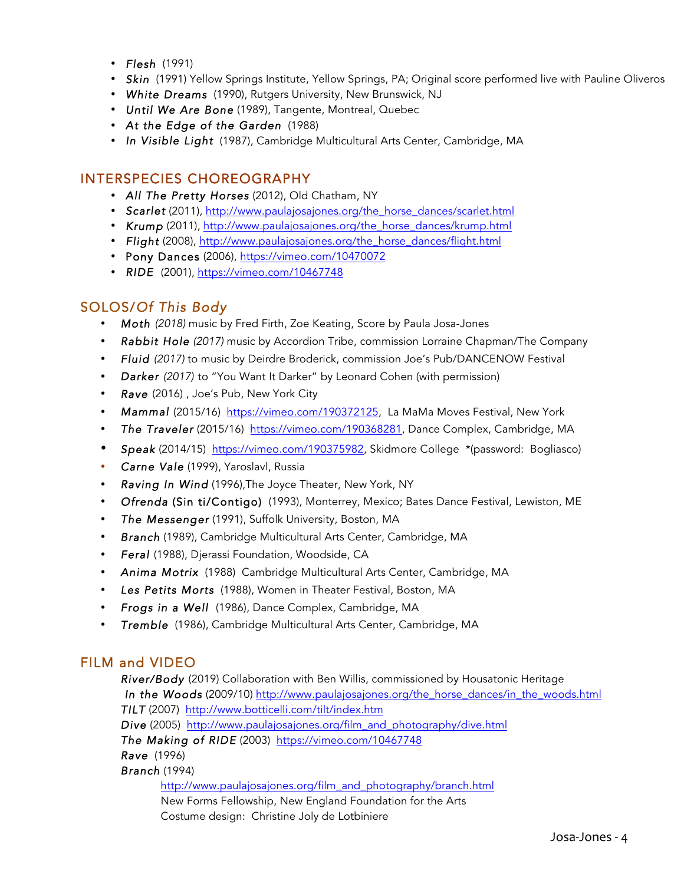- *Flesh* (1991)
- *Skin* (1991) Yellow Springs Institute, Yellow Springs, PA; Original score performed live with Pauline Oliveros
- *White Dreams* (1990), Rutgers University, New Brunswick, NJ
- *Until We Are Bone* (1989), Tangente, Montreal, Quebec
- *At the Edge of the Garden* (1988)
- *In Visible Light* (1987), Cambridge Multicultural Arts Center, Cambridge, MA

#### INTERSPECIES CHOREOGRAPHY

- *All The Pretty Horses* (2012), Old Chatham, NY
- *Scarlet* (2011), http://www.paulajosajones.org/the\_horse\_dances/scarlet.html
- *Krump* (2011), http://www.paulajosajones.org/the\_horse\_dances/krump.html
- *Flight* (2008), http://www.paulajosajones.org/the\_horse\_dances/flight.html
- Pony Dances (2006), https://vimeo.com/10470072
- *RIDE* (2001), https://vimeo.com/10467748

#### SOLOS/*Of This Body*

- *Moth (2018)* music by Fred Firth, Zoe Keating, Score by Paula Josa-Jones
- *Rabbit Hole (2017)* music by Accordion Tribe, commission Lorraine Chapman/The Company
- *Fluid (2017)* to music by Deirdre Broderick, commission Joe's Pub/DANCENOW Festival
- *Darker (2017)* to "You Want It Darker" by Leonard Cohen (with permission)
- *Rave* (2016) , Joe's Pub, New York City
- *Mammal* (2015/16) https://vimeo.com/190372125, La MaMa Moves Festival, New York
- *The Traveler* (2015/16) https://vimeo.com/190368281, Dance Complex, Cambridge, MA
- *Speak* (2014/15) https://vimeo.com/190375982, Skidmore College \*(password: Bogliasco)
- *Carne Vale* (1999), Yaroslavl, Russia
- *Raving In Wind* (1996),The Joyce Theater, New York, NY
- *Ofrenda* (Sin ti/Contigo) (1993), Monterrey, Mexico; Bates Dance Festival, Lewiston, ME
- *The Messenger* (1991), Suffolk University, Boston, MA
- *Branch* (1989), Cambridge Multicultural Arts Center, Cambridge, MA
- *Feral* (1988), Djerassi Foundation, Woodside, CA
- *Anima Motrix* (1988) Cambridge Multicultural Arts Center, Cambridge, MA
- *Les Petits Morts* (1988), Women in Theater Festival, Boston, MA
- *Frogs in a Well* (1986), Dance Complex, Cambridge, MA
- *Tremble* (1986), Cambridge Multicultural Arts Center, Cambridge, MA

#### FILM and VIDEO

*River/Body* (2019) Collaboration with Ben Willis, commissioned by Housatonic Heritage  *In the Woods* (2009/10) http://www.paulajosajones.org/the\_horse\_dances/in\_the\_woods.html *TILT* (2007) http://www.botticelli.com/tilt/index.htm *Dive* (2005) http://www.paulajosajones.org/film\_and\_photography/dive.html *The Making of RIDE* (2003) https://vimeo.com/10467748 *Rave* (1996) *Branch* (1994)

http://www.paulajosajones.org/film\_and\_photography/branch.html New Forms Fellowship, New England Foundation for the Arts Costume design: Christine Joly de Lotbiniere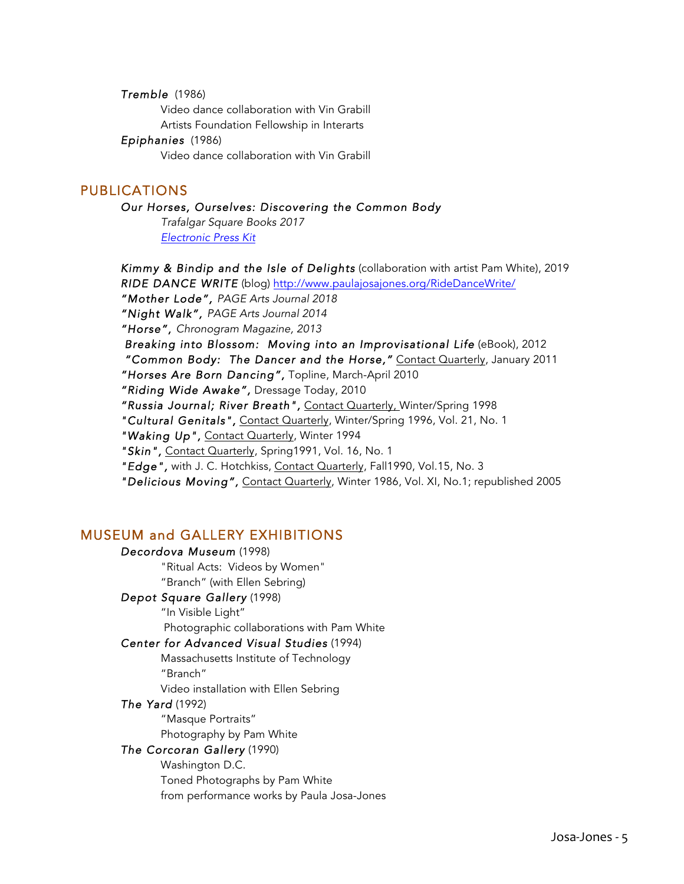*Tremble* (1986) Video dance collaboration with Vin Grabill Artists Foundation Fellowship in Interarts *Epiphanies* (1986) Video dance collaboration with Vin Grabill

#### PUBLICATIONS

#### *Our Horses, Ourselves: Discovering the Common Body*

*Trafalgar Square Books 2017 Electronic Press Kit*

*Kimmy & Bindip and the Isle of Delights* (collaboration with artist Pam White), 2019 *RIDE DANCE WRITE* (blog) http://www.paulajosajones.org/RideDanceWrite/

*"Mother Lode", PAGE Arts Journal 2018* 

*"Night Walk", PAGE Arts Journal 2014* 

*"Horse", Chronogram Magazine, 2013* 

 *Breaking into Blossom: Moving into an Improvisational Life* (eBook), 2012  *"Common Body: The Dancer and the Horse,"* Contact Quarterly, January 2011

*"Horses Are Born Dancing",* Topline, March-April 2010

*"Riding Wide Awake",* Dressage Today, 2010

*"Russia Journal; River Breath",* Contact Quarterly, Winter/Spring 1998

*"Cultural Genitals",* Contact Quarterly, Winter/Spring 1996, Vol. 21, No. 1

*"Waking Up",* Contact Quarterly, Winter 1994

*"Skin",* Contact Quarterly, Spring1991, Vol. 16, No. 1

*"Edge",* with J. C. Hotchkiss, Contact Quarterly, Fall1990, Vol.15, No. 3

*"Delicious Moving",* Contact Quarterly, Winter 1986, Vol. XI, No.1; republished 2005

#### MUSEUM and GALLERY EXHIBITIONS

*Decordova Museum* (1998)

"Ritual Acts: Videos by Women" "Branch" (with Ellen Sebring)

#### *Depot Square Gallery* (1998)

"In Visible Light"

Photographic collaborations with Pam White

#### *Center for Advanced Visual Studies* (1994)

Massachusetts Institute of Technology

"Branch"

Video installation with Ellen Sebring

#### *The Yard* (1992)

"Masque Portraits"

Photography by Pam White

#### *The Corcoran Gallery* (1990)

Washington D.C. Toned Photographs by Pam White from performance works by Paula Josa-Jones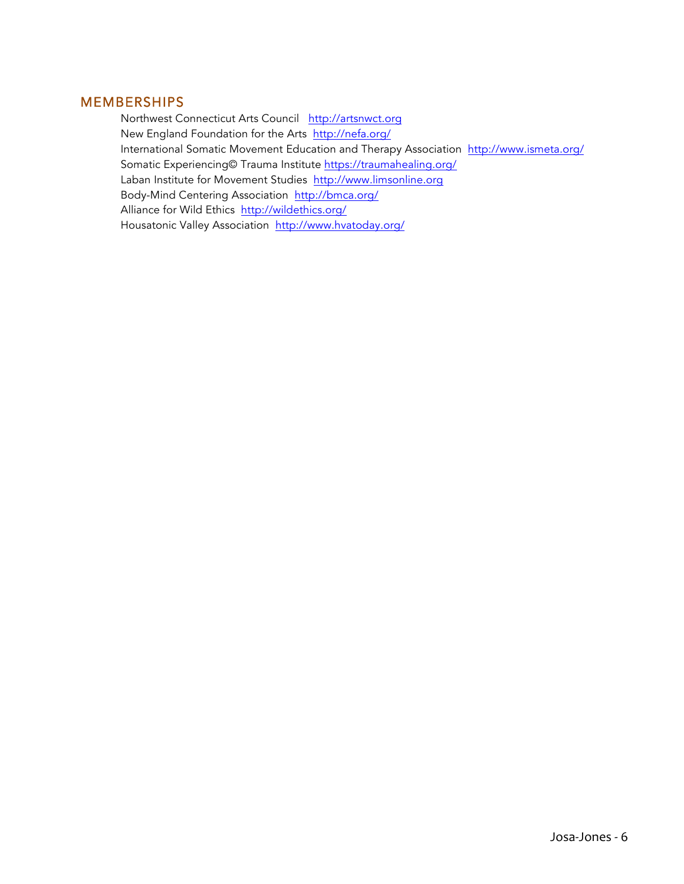#### **MEMBERSHIPS**

 Northwest Connecticut Arts Council http://artsnwct.org New England Foundation for the Arts http://nefa.org/ International Somatic Movement Education and Therapy Association http://www.ismeta.org/ Somatic Experiencing© Trauma Institute https://traumahealing.org/ Laban Institute for Movement Studies http://www.limsonline.org Body-Mind Centering Association http://bmca.org/ Alliance for Wild Ethics http://wildethics.org/ Housatonic Valley Association http://www.hvatoday.org/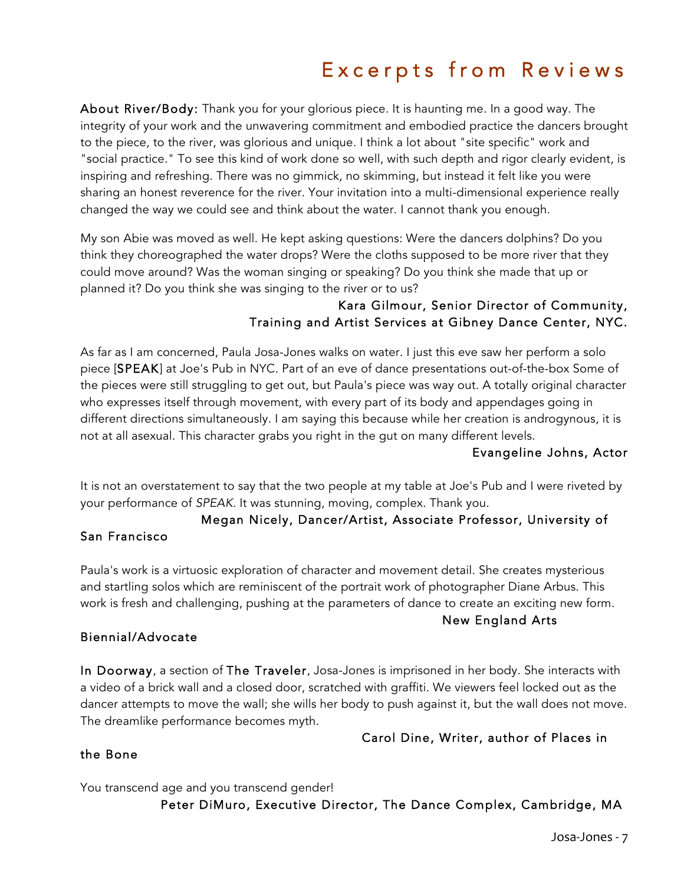### Excerpts from Reviews

About River/Body: Thank you for your glorious piece. It is haunting me. In a good way. The integrity of your work and the unwavering commitment and embodied practice the dancers brought to the piece, to the river, was glorious and unique. I think a lot about "site specific" work and "social practice." To see this kind of work done so well, with such depth and rigor clearly evident, is inspiring and refreshing. There was no gimmick, no skimming, but instead it felt like you were sharing an honest reverence for the river. Your invitation into a multi-dimensional experience really changed the way we could see and think about the water. I cannot thank you enough.

My son Abie was moved as well. He kept asking questions: Were the dancers dolphins? Do you think they choreographed the water drops? Were the cloths supposed to be more river that they could move around? Was the woman singing or speaking? Do you think she made that up or planned it? Do you think she was singing to the river or to us?

#### Kara Gilmour, Senior Director of Community, Training and Artist Services at Gibney Dance Center, NYC.

As far as I am concerned, Paula Josa-Jones walks on water. I just this eve saw her perform a solo piece [SPEAK] at Joe's Pub in NYC. Part of an eve of dance presentations out-of-the-box Some of the pieces were still struggling to get out, but Paula's piece was way out. A totally original character who expresses itself through movement, with every part of its body and appendages going in different directions simultaneously. I am saying this because while her creation is androgynous, it is not at all asexual. This character grabs you right in the gut on many different levels.

#### Evangeline Johns, Actor

It is not an overstatement to say that the two people at my table at Joe's Pub and I were riveted by your performance of *SPEAK*. It was stunning, moving, complex. Thank you.

## Megan Nicely, Dancer/Artist, Associate Professor, University of

Paula's work is a virtuosic exploration of character and movement detail. She creates mysterious and startling solos which are reminiscent of the portrait work of photographer Diane Arbus. This work is fresh and challenging, pushing at the parameters of dance to create an exciting new form.

New England Arts

#### Biennial/Advocate

San Francisco

In Doorway, a section of The Traveler, Josa-Jones is imprisoned in her body. She interacts with a video of a brick wall and a closed door, scratched with graffiti. We viewers feel locked out as the dancer attempts to move the wall; she wills her body to push against it, but the wall does not move. The dreamlike performance becomes myth.

#### Carol Dine, Writer, author of Places in

#### the Bone

You transcend age and you transcend gender!

#### Peter DiMuro, Executive Director, The Dance Complex, Cambridge, MA

Josa-Jones - 7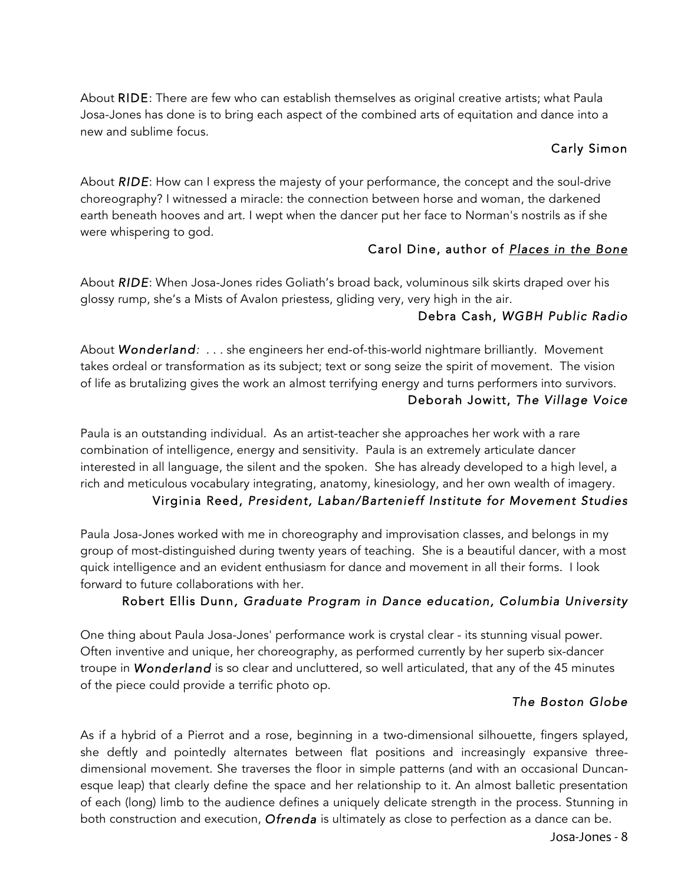About RIDE: There are few who can establish themselves as original creative artists; what Paula Josa-Jones has done is to bring each aspect of the combined arts of equitation and dance into a new and sublime focus.

#### Carly Simon

About *RIDE*: How can I express the majesty of your performance, the concept and the soul-drive choreography? I witnessed a miracle: the connection between horse and woman, the darkened earth beneath hooves and art. I wept when the dancer put her face to Norman's nostrils as if she were whispering to god.

#### Carol Dine, author of *Places in the Bone*

About *RIDE*: When Josa-Jones rides Goliath's broad back, voluminous silk skirts draped over his glossy rump, she's a Mists of Avalon priestess, gliding very, very high in the air.

#### Debra Cash, *WGBH Public Radio*

About *Wonderland:* . . . she engineers her end-of-this-world nightmare brilliantly. Movement takes ordeal or transformation as its subject; text or song seize the spirit of movement. The vision of life as brutalizing gives the work an almost terrifying energy and turns performers into survivors. Deborah Jowitt, *The Village Voice*

Paula is an outstanding individual. As an artist-teacher she approaches her work with a rare combination of intelligence, energy and sensitivity. Paula is an extremely articulate dancer interested in all language, the silent and the spoken. She has already developed to a high level, a rich and meticulous vocabulary integrating, anatomy, kinesiology, and her own wealth of imagery.

#### Virginia Reed, *President, Laban/Bartenieff Institute for Movement Studies*

Paula Josa-Jones worked with me in choreography and improvisation classes, and belongs in my group of most-distinguished during twenty years of teaching. She is a beautiful dancer, with a most quick intelligence and an evident enthusiasm for dance and movement in all their forms. I look forward to future collaborations with her.

#### Robert Ellis Dunn*, Graduate Program in Dance education, Columbia University*

One thing about Paula Josa-Jones' performance work is crystal clear - its stunning visual power. Often inventive and unique, her choreography, as performed currently by her superb six-dancer troupe in *Wonderland* is so clear and uncluttered, so well articulated, that any of the 45 minutes of the piece could provide a terrific photo op.

#### *The Boston Globe*

As if a hybrid of a Pierrot and a rose, beginning in a two-dimensional silhouette, fingers splayed, she deftly and pointedly alternates between flat positions and increasingly expansive threedimensional movement. She traverses the floor in simple patterns (and with an occasional Duncanesque leap) that clearly define the space and her relationship to it. An almost balletic presentation of each (long) limb to the audience defines a uniquely delicate strength in the process. Stunning in both construction and execution, *Ofrenda* is ultimately as close to perfection as a dance can be.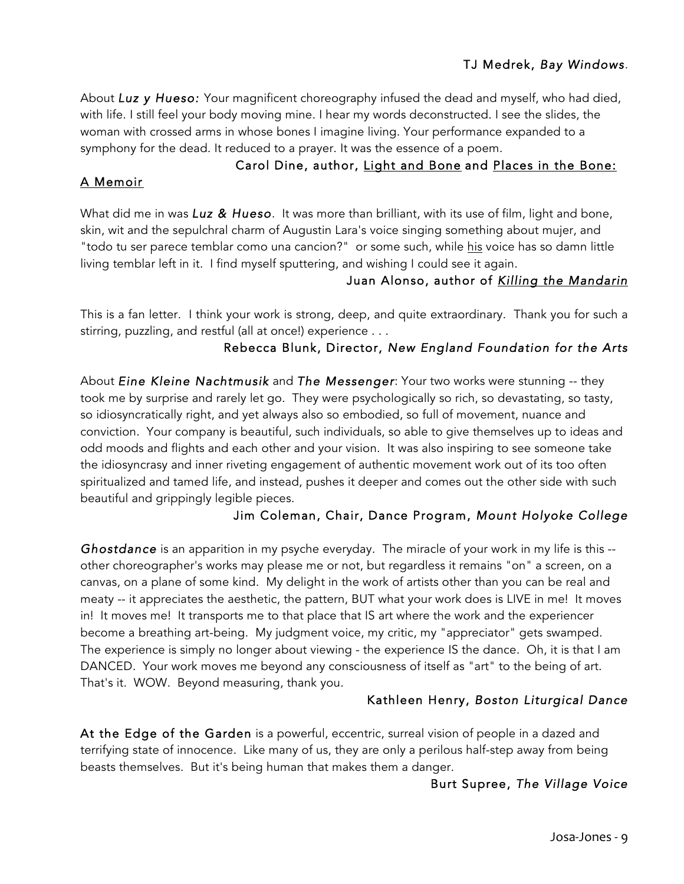#### TJ Medrek, *Bay Windows.*

About *Luz y Hueso:* Your magnificent choreography infused the dead and myself, who had died, with life. I still feel your body moving mine. I hear my words deconstructed. I see the slides, the woman with crossed arms in whose bones I imagine living. Your performance expanded to a symphony for the dead. It reduced to a prayer. It was the essence of a poem.

#### A Memoir

#### Carol Dine, author, Light and Bone and Places in the Bone:

What did me in was *Luz & Hueso*. It was more than brilliant, with its use of film, light and bone, skin, wit and the sepulchral charm of Augustin Lara's voice singing something about mujer, and "todo tu ser parece temblar como una cancion?" or some such, while his voice has so damn little living temblar left in it. I find myself sputtering, and wishing I could see it again.

#### Juan Alonso, author of *Killing the Mandarin*

This is a fan letter. I think your work is strong, deep, and quite extraordinary. Thank you for such a stirring, puzzling, and restful (all at once!) experience . . .

#### Rebecca Blunk, Director, *New England Foundation for the Arts*

About *Eine Kleine Nachtmusik* and *The Messenger*: Your two works were stunning -- they took me by surprise and rarely let go. They were psychologically so rich, so devastating, so tasty, so idiosyncratically right, and yet always also so embodied, so full of movement, nuance and conviction. Your company is beautiful, such individuals, so able to give themselves up to ideas and odd moods and flights and each other and your vision. It was also inspiring to see someone take the idiosyncrasy and inner riveting engagement of authentic movement work out of its too often spiritualized and tamed life, and instead, pushes it deeper and comes out the other side with such beautiful and grippingly legible pieces.

#### Jim Coleman, Chair, Dance Program, *Mount Holyoke College*

*Ghostdance* is an apparition in my psyche everyday. The miracle of your work in my life is this - other choreographer's works may please me or not, but regardless it remains "on" a screen, on a canvas, on a plane of some kind. My delight in the work of artists other than you can be real and meaty -- it appreciates the aesthetic, the pattern, BUT what your work does is LIVE in me! It moves in! It moves me! It transports me to that place that IS art where the work and the experiencer become a breathing art-being. My judgment voice, my critic, my "appreciator" gets swamped. The experience is simply no longer about viewing - the experience IS the dance. Oh, it is that I am DANCED. Your work moves me beyond any consciousness of itself as "art" to the being of art. That's it. WOW. Beyond measuring, thank you.

#### Kathleen Henry, *Boston Liturgical Dance*

At the Edge of the Garden is a powerful, eccentric, surreal vision of people in a dazed and terrifying state of innocence. Like many of us, they are only a perilous half-step away from being beasts themselves. But it's being human that makes them a danger.

#### Burt Supree, *The Village Voice*